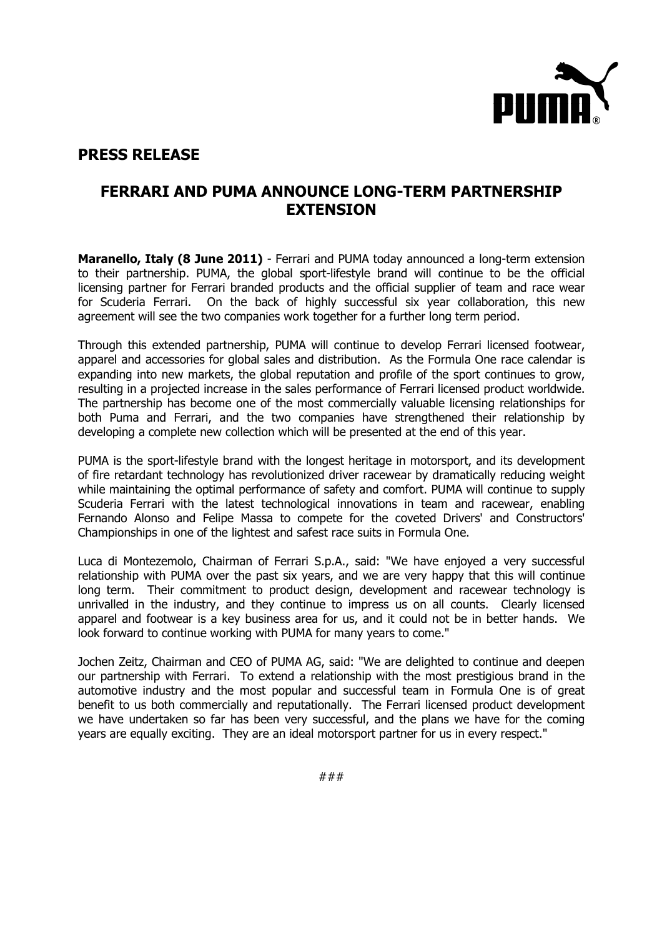

## **PRESS RELEASE**

## **FERRARI AND PUMA ANNOUNCE LONG-TERM PARTNERSHIP EXTENSION**

**Maranello, Italy (8 June 2011)** - Ferrari and PUMA today announced a long-term extension to their partnership. PUMA, the global sport-lifestyle brand will continue to be the official licensing partner for Ferrari branded products and the official supplier of team and race wear for Scuderia Ferrari. On the back of highly successful six year collaboration, this new agreement will see the two companies work together for a further long term period.

Through this extended partnership, PUMA will continue to develop Ferrari licensed footwear, apparel and accessories for global sales and distribution. As the Formula One race calendar is expanding into new markets, the global reputation and profile of the sport continues to grow, resulting in a projected increase in the sales performance of Ferrari licensed product worldwide. The partnership has become one of the most commercially valuable licensing relationships for both Puma and Ferrari, and the two companies have strengthened their relationship by developing a complete new collection which will be presented at the end of this year.

PUMA is the sport-lifestyle brand with the longest heritage in motorsport, and its development of fire retardant technology has revolutionized driver racewear by dramatically reducing weight while maintaining the optimal performance of safety and comfort. PUMA will continue to supply Scuderia Ferrari with the latest technological innovations in team and racewear, enabling Fernando Alonso and Felipe Massa to compete for the coveted Drivers' and Constructors' Championships in one of the lightest and safest race suits in Formula One.

Luca di Montezemolo, Chairman of Ferrari S.p.A., said: "We have enjoyed a very successful relationship with PUMA over the past six years, and we are very happy that this will continue long term. Their commitment to product design, development and racewear technology is unrivalled in the industry, and they continue to impress us on all counts. Clearly licensed apparel and footwear is a key business area for us, and it could not be in better hands. We look forward to continue working with PUMA for many years to come."

Jochen Zeitz, Chairman and CEO of PUMA AG, said: "We are delighted to continue and deepen our partnership with Ferrari. To extend a relationship with the most prestigious brand in the automotive industry and the most popular and successful team in Formula One is of great benefit to us both commercially and reputationally. The Ferrari licensed product development we have undertaken so far has been very successful, and the plans we have for the coming years are equally exciting. They are an ideal motorsport partner for us in every respect."